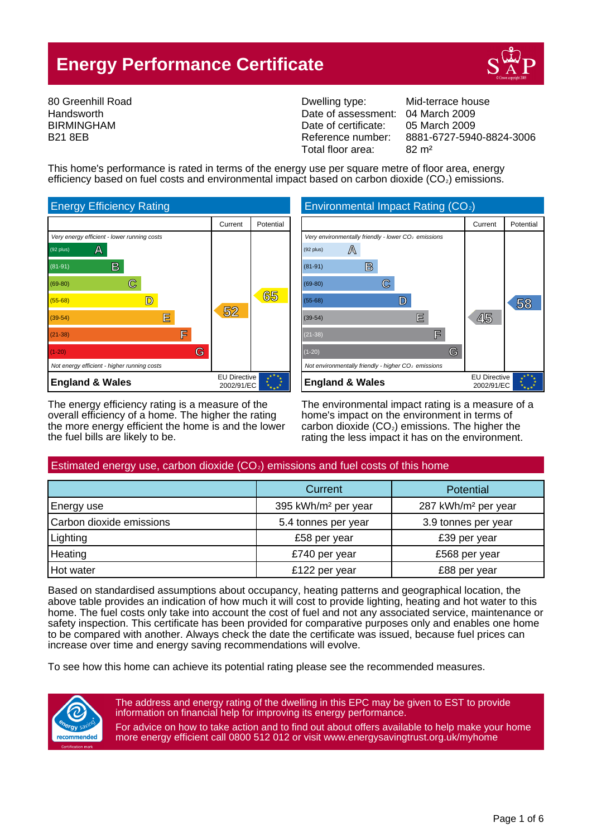# **Energy Performance Certificate**



80 Greenhill Road Handsworth BIRMINGHAM B21 8EB

Dwelling type: Date of assessment: 04 March 2009 Date of certificate: Reference number: Total floor area:

Mid-terrace house 05 March 2009 8881-6727-5940-8824-3006 82 m²

This home's performance is rated in terms of the energy use per square metre of floor area, energy efficiency based on fuel costs and environmental impact based on carbon dioxide  $(CO<sub>2</sub>)$  emissions.



The energy efficiency rating is a measure of the overall efficiency of a home. The higher the rating the more energy efficient the home is and the lower the fuel bills are likely to be.



The environmental impact rating is a measure of a home's impact on the environment in terms of carbon dioxide  $(CO<sub>2</sub>)$  emissions. The higher the rating the less impact it has on the environment.

### Estimated energy use, carbon dioxide  $(CO<sub>2</sub>)$  emissions and fuel costs of this home

|                          | Current                         | <b>Potential</b>                |
|--------------------------|---------------------------------|---------------------------------|
| Energy use               | 395 kWh/m <sup>2</sup> per year | 287 kWh/m <sup>2</sup> per year |
| Carbon dioxide emissions | 5.4 tonnes per year             | 3.9 tonnes per year             |
| Lighting                 | £58 per year                    | £39 per year                    |
| Heating                  | £740 per year                   | £568 per year                   |
| Hot water                | £122 per year                   | £88 per year                    |

Based on standardised assumptions about occupancy, heating patterns and geographical location, the above table provides an indication of how much it will cost to provide lighting, heating and hot water to this home. The fuel costs only take into account the cost of fuel and not any associated service, maintenance or safety inspection. This certificate has been provided for comparative purposes only and enables one home to be compared with another. Always check the date the certificate was issued, because fuel prices can increase over time and energy saving recommendations will evolve.

To see how this home can achieve its potential rating please see the recommended measures.



The address and energy rating of the dwelling in this EPC may be given to EST to provide information on financial help for improving its energy performance.

For advice on how to take action and to find out about offers available to help make your home more energy efficient call 0800 512 012 or visit www.energysavingtrust.org.uk/myhome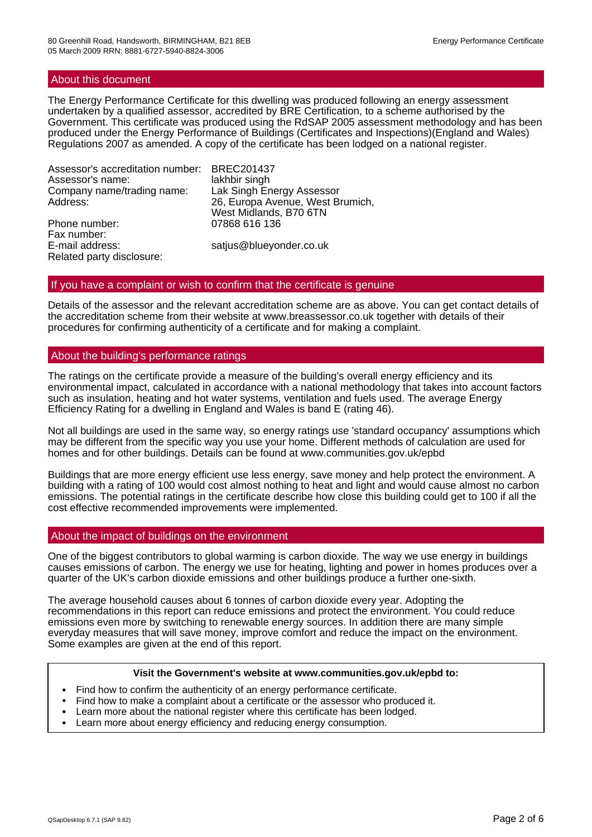#### About this document

The Energy Performance Certificate for this dwelling was produced following an energy assessment undertaken by a qualified assessor, accredited by BRE Certification, to a scheme authorised by the Government. This certificate was produced using the RdSAP 2005 assessment methodology and has been produced under the Energy Performance of Buildings (Certificates and Inspections)(England and Wales) Regulations 2007 as amended. A copy of the certificate has been lodged on a national register.

| Assessor's accreditation number: | <b>BREC201437</b>                |
|----------------------------------|----------------------------------|
| Assessor's name:                 | lakhbir singh                    |
| Company name/trading name:       | Lak Singh Energy Assessor        |
| Address:                         | 26, Europa Avenue, West Brumich, |
|                                  | West Midlands, B70 6TN           |
| Phone number:                    | 07868 616 136                    |
| Fax number:                      |                                  |
| E-mail address:                  | satjus@blueyonder.co.uk          |
| Related party disclosure:        |                                  |

#### If you have a complaint or wish to confirm that the certificate is genuine

Details of the assessor and the relevant accreditation scheme are as above. You can get contact details of the accreditation scheme from their website at www.breassessor.co.uk together with details of their procedures for confirming authenticity of a certificate and for making a complaint.

#### About the building's performance ratings

The ratings on the certificate provide a measure of the building's overall energy efficiency and its environmental impact, calculated in accordance with a national methodology that takes into account factors such as insulation, heating and hot water systems, ventilation and fuels used. The average Energy Efficiency Rating for a dwelling in England and Wales is band E (rating 46).

Not all buildings are used in the same way, so energy ratings use 'standard occupancy' assumptions which may be different from the specific way you use your home. Different methods of calculation are used for homes and for other buildings. Details can be found at www.communities.gov.uk/epbd

Buildings that are more energy efficient use less energy, save money and help protect the environment. A building with a rating of 100 would cost almost nothing to heat and light and would cause almost no carbon emissions. The potential ratings in the certificate describe how close this building could get to 100 if all the cost effective recommended improvements were implemented.

#### About the impact of buildings on the environment

One of the biggest contributors to global warming is carbon dioxide. The way we use energy in buildings causes emissions of carbon. The energy we use for heating, lighting and power in homes produces over a quarter of the UK's carbon dioxide emissions and other buildings produce a further one-sixth.

The average household causes about 6 tonnes of carbon dioxide every year. Adopting the recommendations in this report can reduce emissions and protect the environment. You could reduce emissions even more by switching to renewable energy sources. In addition there are many simple everyday measures that will save money, improve comfort and reduce the impact on the environment. Some examples are given at the end of this report.

#### **Visit the Government's website at www.communities.gov.uk/epbd to:**

- Find how to confirm the authenticity of an energy performance certificate.
- Find how to make a complaint about a certificate or the assessor who produced it.
- Learn more about the national register where this certificate has been lodged.
- Learn more about energy efficiency and reducing energy consumption.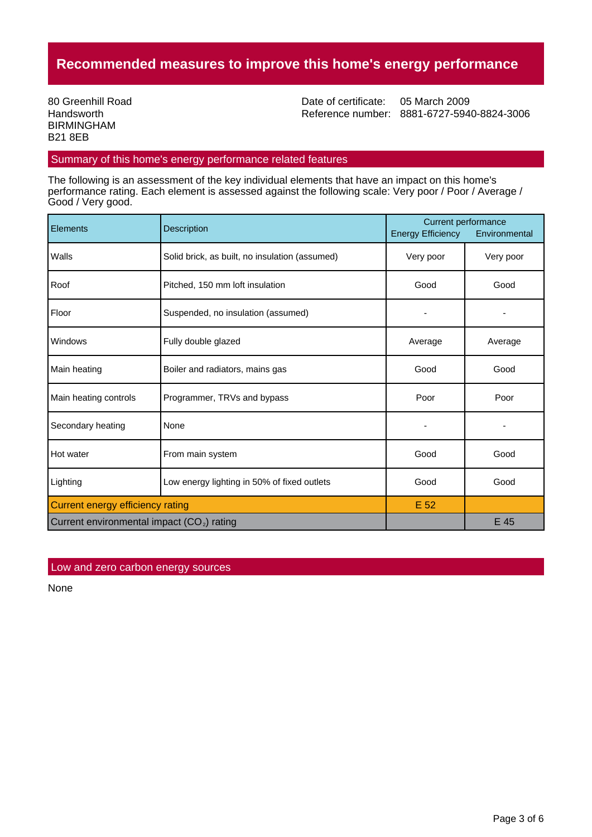## **Recommended measures to improve this home's energy performance**

80 Greenhill Road Handsworth BIRMINGHAM B21 8EB

Date of certificate:

Reference number: 8881-6727-5940-8824-3006 05 March 2009

#### Summary of this home's energy performance related features

The following is an assessment of the key individual elements that have an impact on this home's performance rating. Each element is assessed against the following scale: Very poor / Poor / Average / Good / Very good.

| <b>Elements</b>                              | <b>Description</b>                             | <b>Current performance</b><br><b>Energy Efficiency</b> | Environmental |
|----------------------------------------------|------------------------------------------------|--------------------------------------------------------|---------------|
| Walls                                        | Solid brick, as built, no insulation (assumed) | Very poor                                              | Very poor     |
| Roof                                         | Pitched, 150 mm loft insulation                | Good                                                   | Good          |
| Floor                                        | Suspended, no insulation (assumed)             |                                                        |               |
| Windows                                      | Fully double glazed                            | Average                                                | Average       |
| Main heating                                 | Boiler and radiators, mains gas                | Good                                                   | Good          |
| Main heating controls                        | Programmer, TRVs and bypass                    | Poor                                                   | Poor          |
| Secondary heating                            | None                                           |                                                        |               |
| Hot water                                    | From main system                               | Good                                                   | Good          |
| Lighting                                     | Low energy lighting in 50% of fixed outlets    | Good                                                   | Good          |
| Current energy efficiency rating             |                                                | E 52                                                   |               |
| Current environmental impact $(CO_2)$ rating |                                                |                                                        | E 45          |

#### Low and zero carbon energy sources

None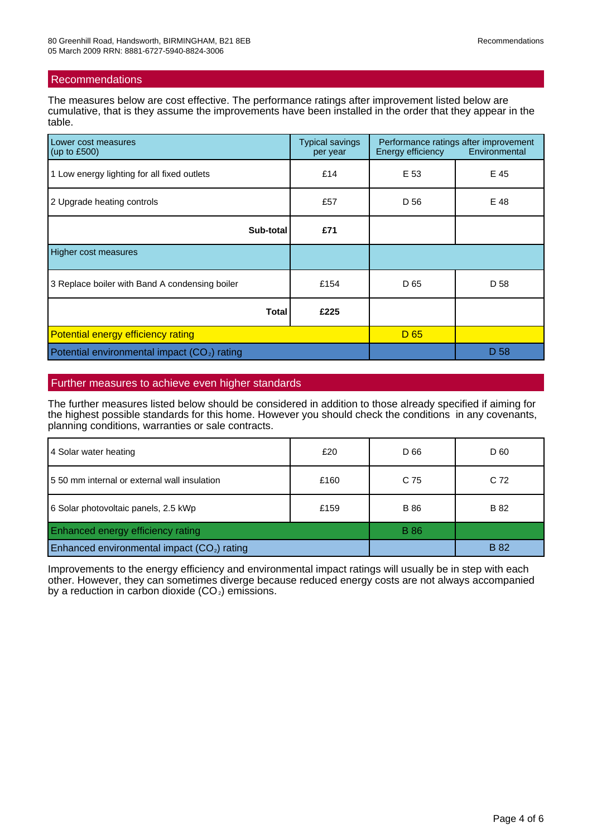#### Recommendations

The measures below are cost effective. The performance ratings after improvement listed below are cumulative, that is they assume the improvements have been installed in the order that they appear in the table.

| Lower cost measures<br>(up to $£500$ )                   | <b>Typical savings</b><br>per year | Performance ratings after improvement<br>Environmental<br>Energy efficiency |      |
|----------------------------------------------------------|------------------------------------|-----------------------------------------------------------------------------|------|
| 1 Low energy lighting for all fixed outlets              | £14                                | E 53                                                                        | E 45 |
| 2 Upgrade heating controls                               | £57                                | D 56                                                                        | E 48 |
| Sub-total                                                | £71                                |                                                                             |      |
| Higher cost measures                                     |                                    |                                                                             |      |
| 3 Replace boiler with Band A condensing boiler           | £154                               | D <sub>65</sub>                                                             | D 58 |
| <b>Total</b>                                             | £225                               |                                                                             |      |
| Potential energy efficiency rating                       |                                    | D <sub>65</sub>                                                             |      |
| Potential environmental impact (CO <sub>2</sub> ) rating |                                    |                                                                             | D 58 |

#### Further measures to achieve even higher standards

The further measures listed below should be considered in addition to those already specified if aiming for the highest possible standards for this home. However you should check the conditions in any covenants, planning conditions, warranties or sale contracts.

| 4 Solar water heating                                   | £20  | D 66        | D 60        |
|---------------------------------------------------------|------|-------------|-------------|
| 15 50 mm internal or external wall insulation           | £160 | C 75        | C 72        |
| 6 Solar photovoltaic panels, 2.5 kWp                    | £159 | <b>B</b> 86 | <b>B</b> 82 |
| <b>Enhanced energy efficiency rating</b>                |      | <b>B</b> 86 |             |
| Enhanced environmental impact (CO <sub>2</sub> ) rating |      |             | <b>B</b> 82 |

Improvements to the energy efficiency and environmental impact ratings will usually be in step with each other. However, they can sometimes diverge because reduced energy costs are not always accompanied by a reduction in carbon dioxide  $(CO<sub>2</sub>)$  emissions.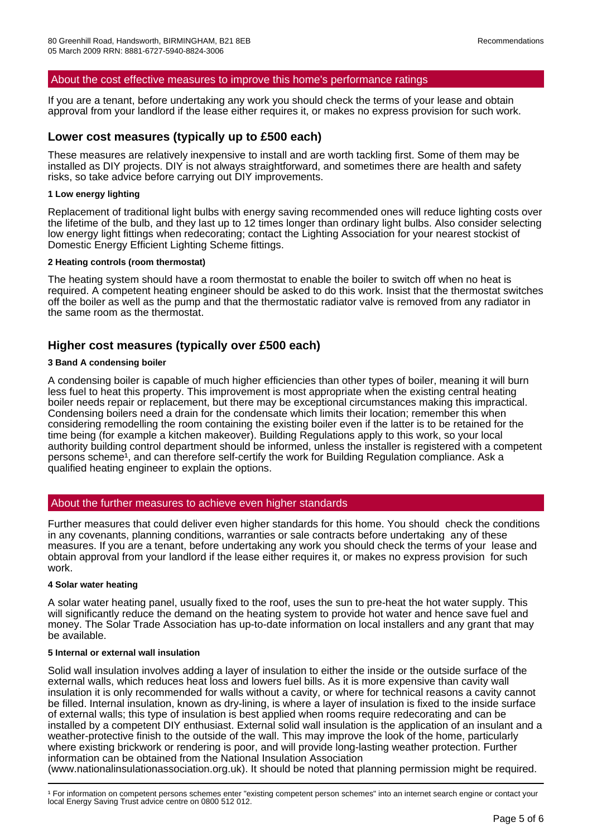#### About the cost effective measures to improve this home's performance ratings

If you are a tenant, before undertaking any work you should check the terms of your lease and obtain approval from your landlord if the lease either requires it, or makes no express provision for such work.

#### **Lower cost measures (typically up to £500 each)**

These measures are relatively inexpensive to install and are worth tackling first. Some of them may be installed as DIY projects. DIY is not always straightforward, and sometimes there are health and safety risks, so take advice before carrying out DIY improvements.

#### **1 Low energy lighting**

Replacement of traditional light bulbs with energy saving recommended ones will reduce lighting costs over the lifetime of the bulb, and they last up to 12 times longer than ordinary light bulbs. Also consider selecting low energy light fittings when redecorating; contact the Lighting Association for your nearest stockist of Domestic Energy Efficient Lighting Scheme fittings.

#### **2 Heating controls (room thermostat)**

The heating system should have a room thermostat to enable the boiler to switch off when no heat is required. A competent heating engineer should be asked to do this work. Insist that the thermostat switches off the boiler as well as the pump and that the thermostatic radiator valve is removed from any radiator in the same room as the thermostat.

#### **Higher cost measures (typically over £500 each)**

#### **3 Band A condensing boiler**

A condensing boiler is capable of much higher efficiencies than other types of boiler, meaning it will burn less fuel to heat this property. This improvement is most appropriate when the existing central heating boiler needs repair or replacement, but there may be exceptional circumstances making this impractical. Condensing boilers need a drain for the condensate which limits their location; remember this when considering remodelling the room containing the existing boiler even if the latter is to be retained for the time being (for example a kitchen makeover). Building Regulations apply to this work, so your local authority building control department should be informed, unless the installer is registered with a competent persons scheme<sup>1</sup>, and can therefore self-certify the work for Building Regulation compliance. Ask a qualified heating engineer to explain the options.

#### About the further measures to achieve even higher standards

Further measures that could deliver even higher standards for this home. You should check the conditions in any covenants, planning conditions, warranties or sale contracts before undertaking any of these measures. If you are a tenant, before undertaking any work you should check the terms of your lease and obtain approval from your landlord if the lease either requires it, or makes no express provision for such work.

#### **4 Solar water heating**

A solar water heating panel, usually fixed to the roof, uses the sun to pre-heat the hot water supply. This will significantly reduce the demand on the heating system to provide hot water and hence save fuel and money. The Solar Trade Association has up-to-date information on local installers and any grant that may be available.

#### **5 Internal or external wall insulation**

Solid wall insulation involves adding a layer of insulation to either the inside or the outside surface of the external walls, which reduces heat loss and lowers fuel bills. As it is more expensive than cavity wall insulation it is only recommended for walls without a cavity, or where for technical reasons a cavity cannot be filled. Internal insulation, known as dry-lining, is where a layer of insulation is fixed to the inside surface of external walls; this type of insulation is best applied when rooms require redecorating and can be installed by a competent DIY enthusiast. External solid wall insulation is the application of an insulant and a weather-protective finish to the outside of the wall. This may improve the look of the home, particularly where existing brickwork or rendering is poor, and will provide long-lasting weather protection. Further information can be obtained from the National Insulation Association

(www.nationalinsulationassociation.org.uk). It should be noted that planning permission might be required.

<sup>&</sup>lt;sup>1</sup> For information on competent persons schemes enter "existing competent person schemes" into an internet search engine or contact your local Energy Saving Trust advice centre on 0800 512 012.